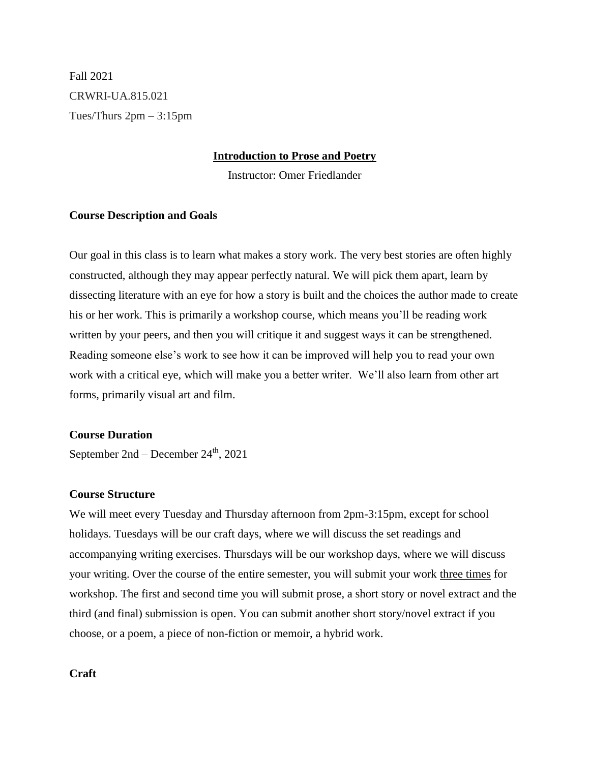Fall 2021 CRWRI-UA.815.021 Tues/Thurs 2pm – 3:15pm

#### **Introduction to Prose and Poetry**

Instructor: Omer Friedlander

#### **Course Description and Goals**

Our goal in this class is to learn what makes a story work. The very best stories are often highly constructed, although they may appear perfectly natural. We will pick them apart, learn by dissecting literature with an eye for how a story is built and the choices the author made to create his or her work. This is primarily a workshop course, which means you'll be reading work written by your peers, and then you will critique it and suggest ways it can be strengthened. Reading someone else's work to see how it can be improved will help you to read your own work with a critical eye, which will make you a better writer. We'll also learn from other art forms, primarily visual art and film.

#### **Course Duration**

September  $2nd$  – December  $24<sup>th</sup>$ , 2021

# **Course Structure**

We will meet every Tuesday and Thursday afternoon from 2pm-3:15pm, except for school holidays. Tuesdays will be our craft days, where we will discuss the set readings and accompanying writing exercises. Thursdays will be our workshop days, where we will discuss your writing. Over the course of the entire semester, you will submit your work three times for workshop. The first and second time you will submit prose, a short story or novel extract and the third (and final) submission is open. You can submit another short story/novel extract if you choose, or a poem, a piece of non-fiction or memoir, a hybrid work.

#### **Craft**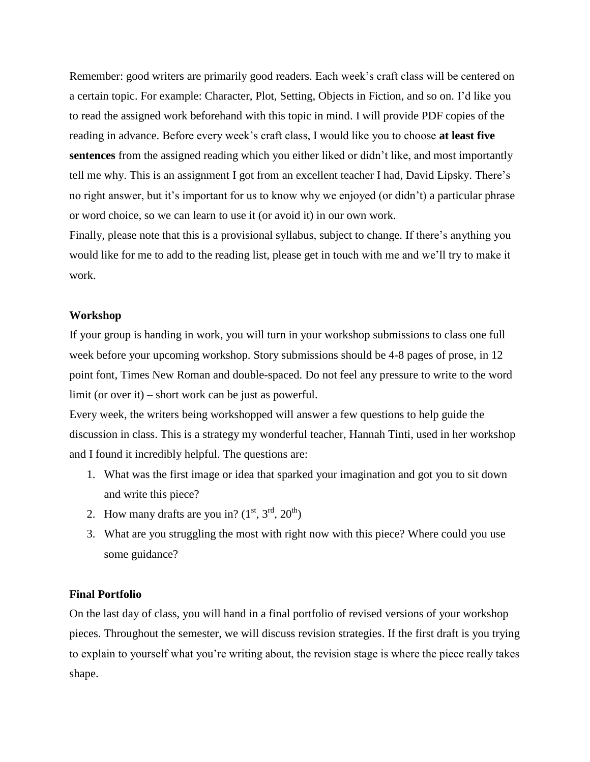Remember: good writers are primarily good readers. Each week's craft class will be centered on a certain topic. For example: Character, Plot, Setting, Objects in Fiction, and so on. I'd like you to read the assigned work beforehand with this topic in mind. I will provide PDF copies of the reading in advance. Before every week's craft class, I would like you to choose **at least five sentences** from the assigned reading which you either liked or didn't like, and most importantly tell me why. This is an assignment I got from an excellent teacher I had, David Lipsky. There's no right answer, but it's important for us to know why we enjoyed (or didn't) a particular phrase or word choice, so we can learn to use it (or avoid it) in our own work.

Finally, please note that this is a provisional syllabus, subject to change. If there's anything you would like for me to add to the reading list, please get in touch with me and we'll try to make it work.

#### **Workshop**

If your group is handing in work, you will turn in your workshop submissions to class one full week before your upcoming workshop. Story submissions should be 4-8 pages of prose, in 12 point font, Times New Roman and double-spaced. Do not feel any pressure to write to the word limit (or over it) – short work can be just as powerful.

Every week, the writers being workshopped will answer a few questions to help guide the discussion in class. This is a strategy my wonderful teacher, Hannah Tinti, used in her workshop and I found it incredibly helpful. The questions are:

- 1. What was the first image or idea that sparked your imagination and got you to sit down and write this piece?
- 2. How many drafts are you in?  $(1<sup>st</sup>, 3<sup>rd</sup>, 20<sup>th</sup>)$
- 3. What are you struggling the most with right now with this piece? Where could you use some guidance?

#### **Final Portfolio**

On the last day of class, you will hand in a final portfolio of revised versions of your workshop pieces. Throughout the semester, we will discuss revision strategies. If the first draft is you trying to explain to yourself what you're writing about, the revision stage is where the piece really takes shape.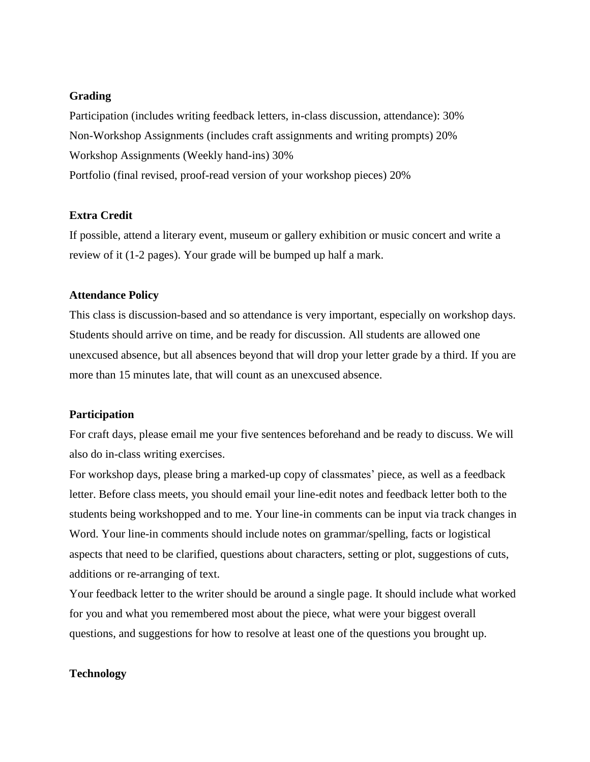#### **Grading**

Participation (includes writing feedback letters, in-class discussion, attendance): 30% Non-Workshop Assignments (includes craft assignments and writing prompts) 20% Workshop Assignments (Weekly hand-ins) 30% Portfolio (final revised, proof-read version of your workshop pieces) 20%

# **Extra Credit**

If possible, attend a literary event, museum or gallery exhibition or music concert and write a review of it (1-2 pages). Your grade will be bumped up half a mark.

#### **Attendance Policy**

This class is discussion-based and so attendance is very important, especially on workshop days. Students should arrive on time, and be ready for discussion. All students are allowed one unexcused absence, but all absences beyond that will drop your letter grade by a third. If you are more than 15 minutes late, that will count as an unexcused absence.

#### **Participation**

For craft days, please email me your five sentences beforehand and be ready to discuss. We will also do in-class writing exercises.

For workshop days, please bring a marked-up copy of classmates' piece, as well as a feedback letter. Before class meets, you should email your line-edit notes and feedback letter both to the students being workshopped and to me. Your line-in comments can be input via track changes in Word. Your line-in comments should include notes on grammar/spelling, facts or logistical aspects that need to be clarified, questions about characters, setting or plot, suggestions of cuts, additions or re-arranging of text.

Your feedback letter to the writer should be around a single page. It should include what worked for you and what you remembered most about the piece, what were your biggest overall questions, and suggestions for how to resolve at least one of the questions you brought up.

#### **Technology**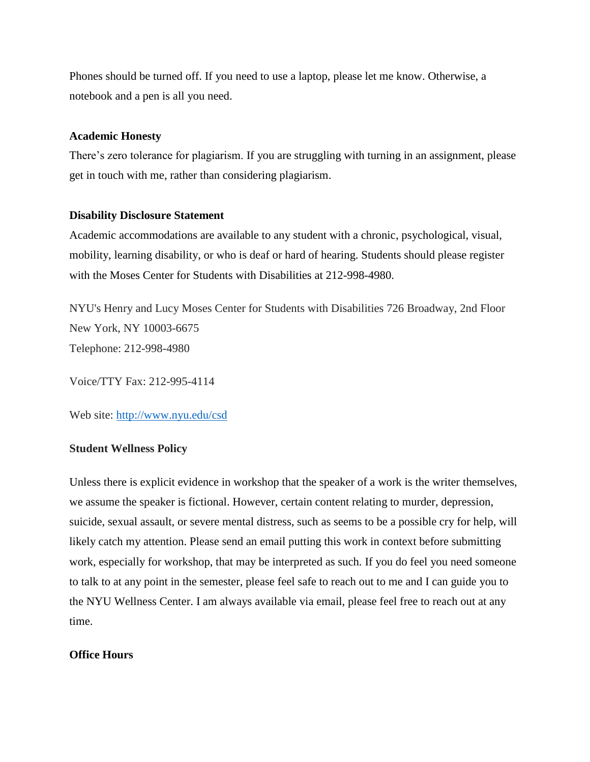Phones should be turned off. If you need to use a laptop, please let me know. Otherwise, a notebook and a pen is all you need.

#### **Academic Honesty**

There's zero tolerance for plagiarism. If you are struggling with turning in an assignment, please get in touch with me, rather than considering plagiarism.

#### **Disability Disclosure Statement**

Academic accommodations are available to any student with a chronic, psychological, visual, mobility, learning disability, or who is deaf or hard of hearing. Students should please register with the Moses Center for Students with Disabilities at 212-998-4980.

NYU's Henry and Lucy Moses Center for Students with Disabilities 726 Broadway, 2nd Floor New York, NY 10003-6675 Telephone: 212-998-4980

Voice/TTY Fax: 212-995-4114

Web site:<http://www.nyu.edu/csd>

#### **Student Wellness Policy**

Unless there is explicit evidence in workshop that the speaker of a work is the writer themselves, we assume the speaker is fictional. However, certain content relating to murder, depression, suicide, sexual assault, or severe mental distress, such as seems to be a possible cry for help, will likely catch my attention. Please send an email putting this work in context before submitting work, especially for workshop, that may be interpreted as such. If you do feel you need someone to talk to at any point in the semester, please feel safe to reach out to me and I can guide you to the NYU Wellness Center. I am always available via email, please feel free to reach out at any time.

#### **Office Hours**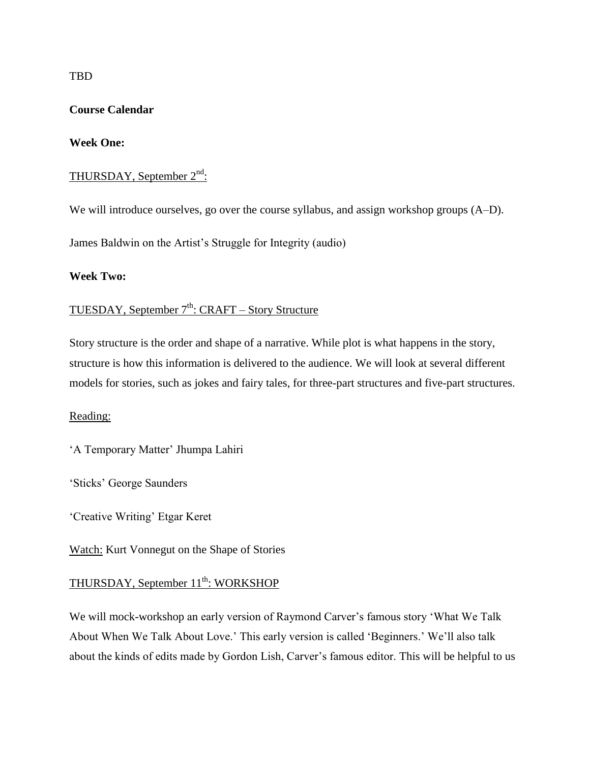TBD

# **Course Calendar**

# **Week One:**

# THURSDAY, September 2<sup>nd</sup>:

We will introduce ourselves, go over the course syllabus, and assign workshop groups (A–D).

James Baldwin on the Artist's Struggle for Integrity (audio)

# **Week Two:**

# TUESDAY, September 7<sup>th</sup>: CRAFT – Story Structure

Story structure is the order and shape of a narrative. While plot is what happens in the story, structure is how this information is delivered to the audience. We will look at several different models for stories, such as jokes and fairy tales, for three-part structures and five-part structures.

# Reading:

'A Temporary Matter' Jhumpa Lahiri

'Sticks' George Saunders

'Creative Writing' Etgar Keret

Watch: Kurt Vonnegut on the Shape of Stories

# THURSDAY, September 11<sup>th</sup>: WORKSHOP

We will mock-workshop an early version of Raymond Carver's famous story 'What We Talk About When We Talk About Love.' This early version is called 'Beginners.' We'll also talk about the kinds of edits made by Gordon Lish, Carver's famous editor. This will be helpful to us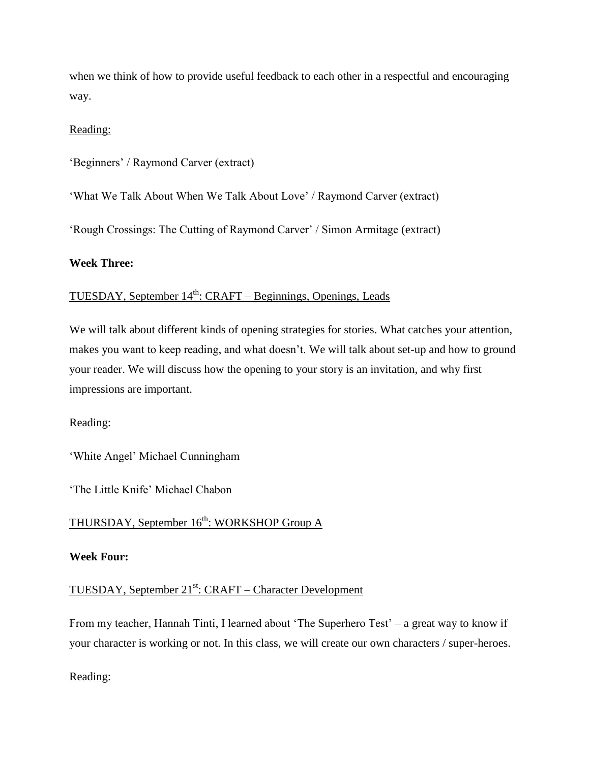when we think of how to provide useful feedback to each other in a respectful and encouraging way.

# Reading:

'Beginners' / Raymond Carver (extract)

'What We Talk About When We Talk About Love' / Raymond Carver (extract)

'Rough Crossings: The Cutting of Raymond Carver' / Simon Armitage (extract)

# **Week Three:**

# TUESDAY, September 14<sup>th</sup>: CRAFT – Beginnings, Openings, Leads

We will talk about different kinds of opening strategies for stories. What catches your attention, makes you want to keep reading, and what doesn't. We will talk about set-up and how to ground your reader. We will discuss how the opening to your story is an invitation, and why first impressions are important.

# Reading:

'White Angel' Michael Cunningham

'The Little Knife' Michael Chabon

# THURSDAY, September 16<sup>th</sup>: WORKSHOP Group A

#### **Week Four:**

# TUESDAY, September 21<sup>st</sup>: CRAFT – Character Development

From my teacher, Hannah Tinti, I learned about 'The Superhero Test' – a great way to know if your character is working or not. In this class, we will create our own characters / super-heroes.

#### Reading: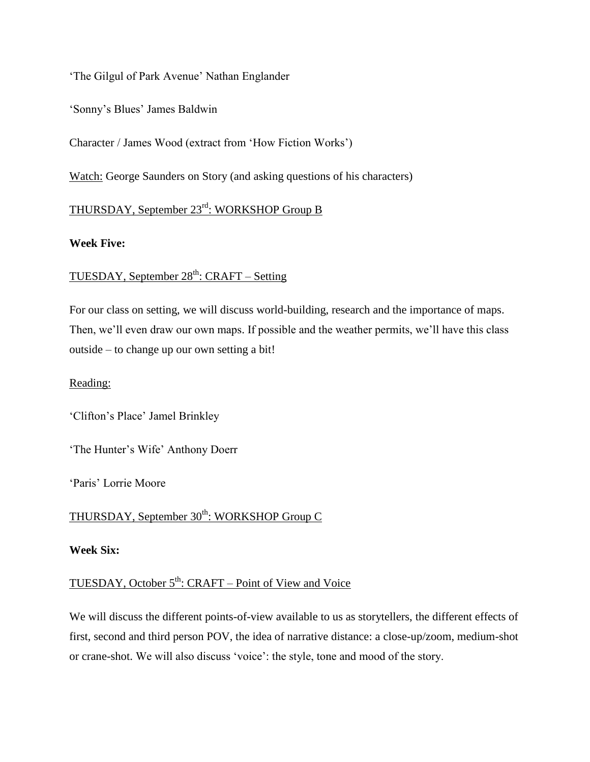'The Gilgul of Park Avenue' Nathan Englander

'Sonny's Blues' James Baldwin

Character / James Wood (extract from 'How Fiction Works')

Watch: George Saunders on Story (and asking questions of his characters)

# THURSDAY, September 23rd: WORKSHOP Group B

# **Week Five:**

# TUESDAY, September  $28<sup>th</sup>$ : CRAFT – Setting

For our class on setting, we will discuss world-building, research and the importance of maps. Then, we'll even draw our own maps. If possible and the weather permits, we'll have this class outside – to change up our own setting a bit!

# Reading:

'Clifton's Place' Jamel Brinkley

'The Hunter's Wife' Anthony Doerr

'Paris' Lorrie Moore

THURSDAY, September 30<sup>th</sup>: WORKSHOP Group C

# **Week Six:**

# TUESDAY, October 5<sup>th</sup>: CRAFT – Point of View and Voice

We will discuss the different points-of-view available to us as storytellers, the different effects of first, second and third person POV, the idea of narrative distance: a close-up/zoom, medium-shot or crane-shot. We will also discuss 'voice': the style, tone and mood of the story.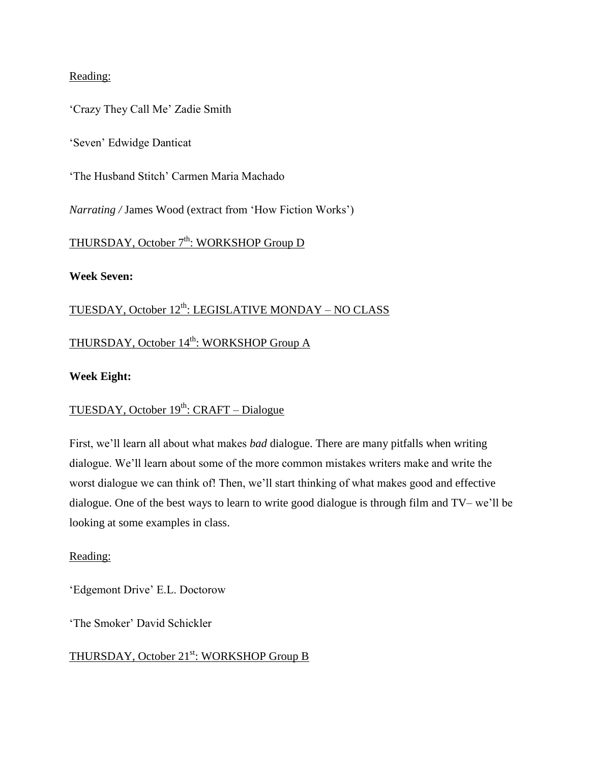# Reading:

'Crazy They Call Me' Zadie Smith

'Seven' Edwidge Danticat

'The Husband Stitch' Carmen Maria Machado

*Narrating /* James Wood (extract from 'How Fiction Works')

# THURSDAY, October 7<sup>th</sup>: WORKSHOP Group D

# **Week Seven:**

# <u>TUESDAY, October 12<sup>th</sup>: LEGISLATIVE MONDAY – NO CLASS</u>

# THURSDAY, October 14<sup>th</sup>: WORKSHOP Group A

# **Week Eight:**

# TUESDAY, October 19<sup>th</sup>: CRAFT – Dialogue

First, we'll learn all about what makes *bad* dialogue. There are many pitfalls when writing dialogue. We'll learn about some of the more common mistakes writers make and write the worst dialogue we can think of! Then, we'll start thinking of what makes good and effective dialogue. One of the best ways to learn to write good dialogue is through film and TV– we'll be looking at some examples in class.

# Reading:

'Edgemont Drive' E.L. Doctorow

'The Smoker' David Schickler

# THURSDAY, October 21<sup>st</sup>: WORKSHOP Group B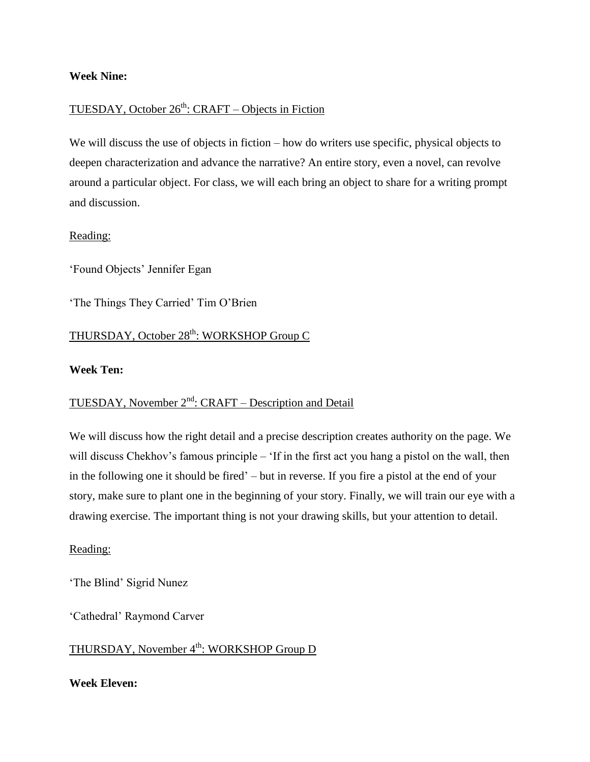#### **Week Nine:**

# TUESDAY, October 26<sup>th</sup>: CRAFT – Objects in Fiction

We will discuss the use of objects in fiction – how do writers use specific, physical objects to deepen characterization and advance the narrative? An entire story, even a novel, can revolve around a particular object. For class, we will each bring an object to share for a writing prompt and discussion.

# Reading:

'Found Objects' Jennifer Egan

'The Things They Carried' Tim O'Brien

# THURSDAY, October 28<sup>th</sup>: WORKSHOP Group C

#### **Week Ten:**

# TUESDAY, November 2<sup>nd</sup>: CRAFT – Description and Detail

We will discuss how the right detail and a precise description creates authority on the page. We will discuss Chekhov's famous principle – 'If in the first act you hang a pistol on the wall, then in the following one it should be fired' – but in reverse. If you fire a pistol at the end of your story, make sure to plant one in the beginning of your story. Finally, we will train our eye with a drawing exercise. The important thing is not your drawing skills, but your attention to detail.

# Reading:

'The Blind' Sigrid Nunez

'Cathedral' Raymond Carver

THURSDAY, November 4<sup>th</sup>: WORKSHOP Group D

**Week Eleven:**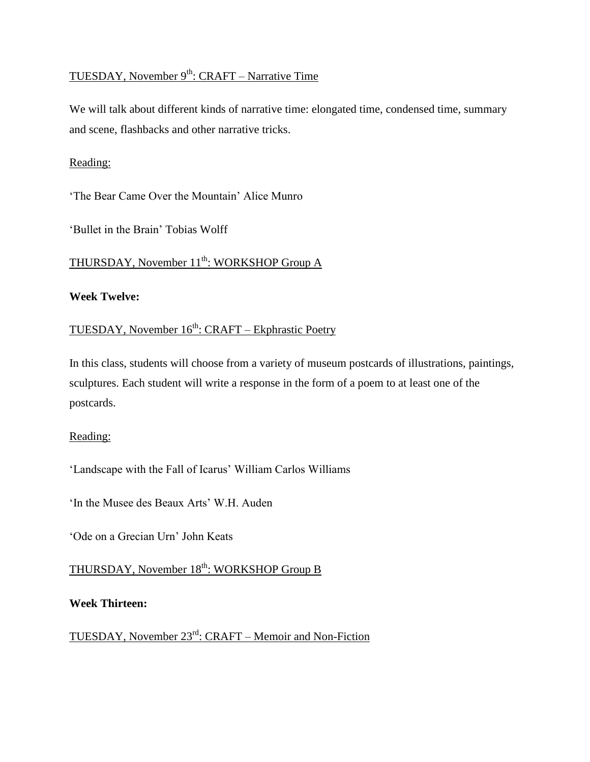# TUESDAY, November 9<sup>th</sup>: CRAFT – Narrative Time

We will talk about different kinds of narrative time: elongated time, condensed time, summary and scene, flashbacks and other narrative tricks.

# Reading:

'The Bear Came Over the Mountain' Alice Munro

'Bullet in the Brain' Tobias Wolff

# THURSDAY, November 11<sup>th</sup>: WORKSHOP Group A

# **Week Twelve:**

# TUESDAY, November 16<sup>th</sup>: CRAFT – Ekphrastic Poetry

In this class, students will choose from a variety of museum postcards of illustrations, paintings, sculptures. Each student will write a response in the form of a poem to at least one of the postcards.

# Reading:

'Landscape with the Fall of Icarus' William Carlos Williams

'In the Musee des Beaux Arts' W.H. Auden

'Ode on a Grecian Urn' John Keats

THURSDAY, November 18<sup>th</sup>: WORKSHOP Group B

**Week Thirteen:**

TUESDAY, November 23rd: CRAFT – Memoir and Non-Fiction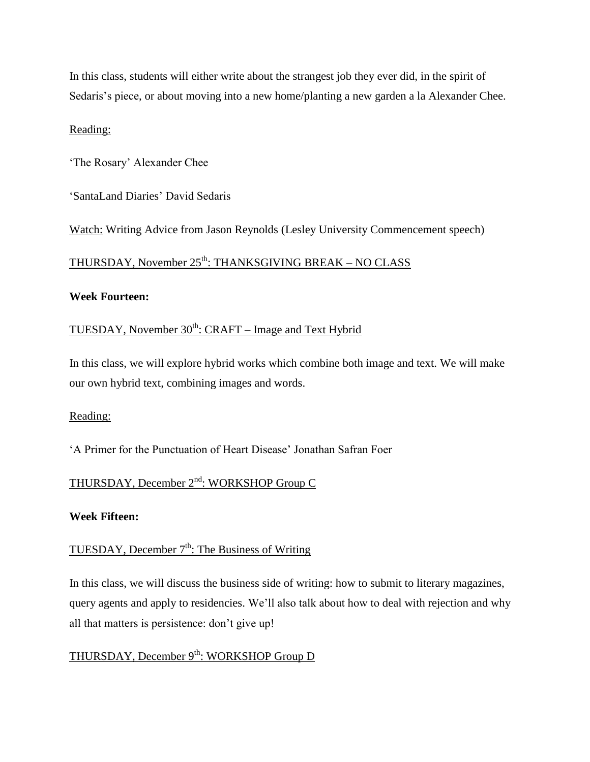In this class, students will either write about the strangest job they ever did, in the spirit of Sedaris's piece, or about moving into a new home/planting a new garden a la Alexander Chee.

# Reading:

'The Rosary' Alexander Chee

'SantaLand Diaries' David Sedaris

Watch: Writing Advice from Jason Reynolds (Lesley University Commencement speech)

# <u>THURSDAY, November 25<sup>th</sup>: THANKSGIVING BREAK – NO CLASS</u>

# **Week Fourteen:**

# TUESDAY, November  $30<sup>th</sup>$ : CRAFT – Image and Text Hybrid

In this class, we will explore hybrid works which combine both image and text. We will make our own hybrid text, combining images and words.

# Reading:

'A Primer for the Punctuation of Heart Disease' Jonathan Safran Foer

# THURSDAY, December 2<sup>nd</sup>: WORKSHOP Group C

# **Week Fifteen:**

# TUESDAY, December  $7<sup>th</sup>$ : The Business of Writing

In this class, we will discuss the business side of writing: how to submit to literary magazines, query agents and apply to residencies. We'll also talk about how to deal with rejection and why all that matters is persistence: don't give up!

# THURSDAY, December 9<sup>th</sup>: WORKSHOP Group D